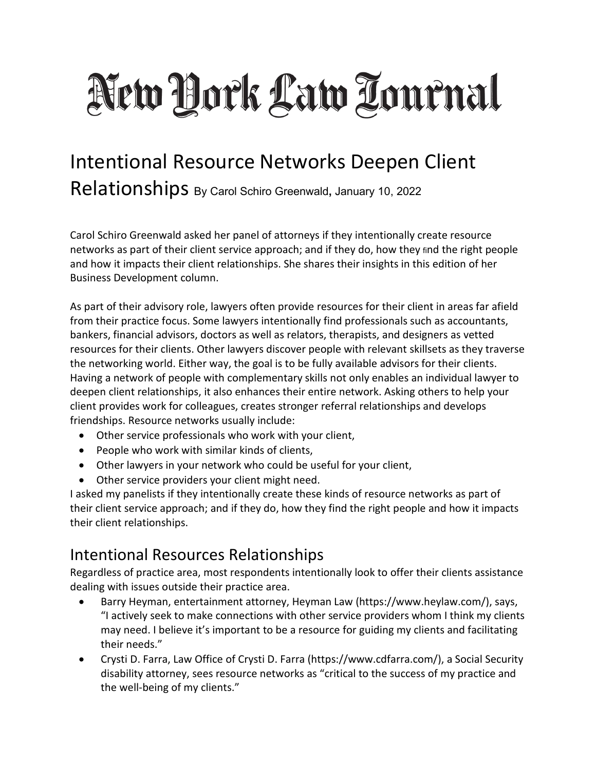# New York Law Tournal

# Intentional Resource Networks Deepen Client Relationships By Carol Schiro Greenwald**,** January 10, 2022

Carol Schiro Greenwald asked her panel of attorneys if they intentionally create resource networks as part of their client service approach; and if they do, how they find the right people and how it impacts their client relationships. She shares their insights in this edition of her Business Development column.

As part of their advisory role, lawyers often provide resources for their client in areas far afield from their practice focus. Some lawyers intentionally find professionals such as accountants, bankers, financial advisors, doctors as well as relators, therapists, and designers as vetted resources for their clients. Other lawyers discover people with relevant skillsets as they traverse the networking world. Either way, the goal is to be fully available advisors for their clients. Having a network of people with complementary skills not only enables an individual lawyer to deepen client relationships, it also enhances their entire network. Asking others to help your client provides work for colleagues, creates stronger referral relationships and develops friendships. Resource networks usually include:

- Other service professionals who work with your client,
- People who work with similar kinds of clients,
- Other lawyers in your network who could be useful for your client,
- Other service providers your client might need.

I asked my panelists if they intentionally create these kinds of resource networks as part of their client service approach; and if they do, how they find the right people and how it impacts their client relationships.

# Intentional Resources Relationships

Regardless of practice area, most respondents intentionally look to offer their clients assistance dealing with issues outside their practice area.

- Barry Heyman, entertainment attorney, Heyman Law (https://www.heylaw.com/), says, "I actively seek to make connections with other service providers whom I think my clients may need. I believe it's important to be a resource for guiding my clients and facilitating their needs."
- Crysti D. Farra, Law Office of Crysti D. Farra (https://www.cdfarra.com/), a Social Security disability attorney, sees resource networks as "critical to the success of my practice and the well-being of my clients."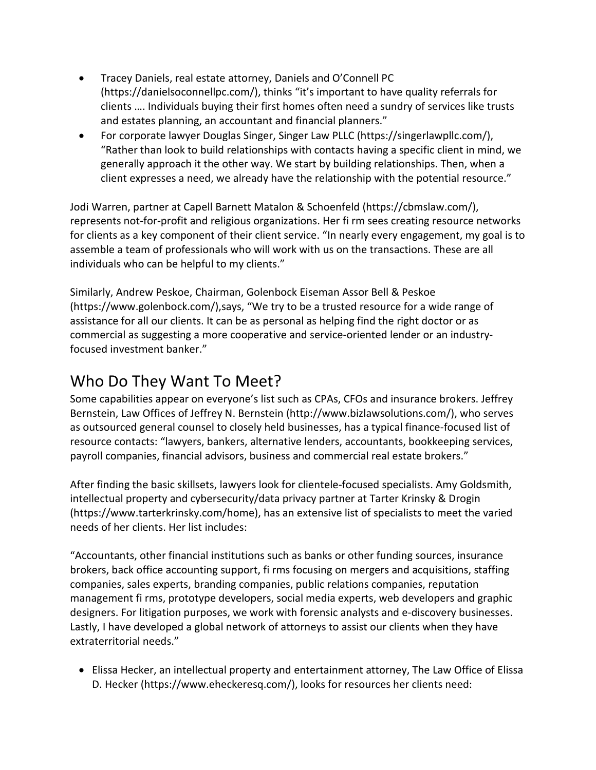- Tracey Daniels, real estate attorney, Daniels and O'Connell PC (https://danielsoconnellpc.com/), thinks "it's important to have quality referrals for clients …. Individuals buying their first homes often need a sundry of services like trusts and estates planning, an accountant and financial planners."
- For corporate lawyer Douglas Singer, Singer Law PLLC (https://singerlawpllc.com/), "Rather than look to build relationships with contacts having a specific client in mind, we generally approach it the other way. We start by building relationships. Then, when a client expresses a need, we already have the relationship with the potential resource."

Jodi Warren, partner at Capell Barnett Matalon & Schoenfeld (https://cbmslaw.com/), represents not-for-profit and religious organizations. Her fi rm sees creating resource networks for clients as a key component of their client service. "In nearly every engagement, my goal is to assemble a team of professionals who will work with us on the transactions. These are all individuals who can be helpful to my clients."

Similarly, Andrew Peskoe, Chairman, Golenbock Eiseman Assor Bell & Peskoe (https://www.golenbock.com/),says, "We try to be a trusted resource for a wide range of assistance for all our clients. It can be as personal as helping find the right doctor or as commercial as suggesting a more cooperative and service-oriented lender or an industryfocused investment banker."

#### Who Do They Want To Meet?

Some capabilities appear on everyone's list such as CPAs, CFOs and insurance brokers. Jeffrey Bernstein, Law Offices of Jeffrey N. Bernstein (http://www.bizlawsolutions.com/), who serves as outsourced general counsel to closely held businesses, has a typical finance-focused list of resource contacts: "lawyers, bankers, alternative lenders, accountants, bookkeeping services, payroll companies, financial advisors, business and commercial real estate brokers."

After finding the basic skillsets, lawyers look for clientele-focused specialists. Amy Goldsmith, intellectual property and cybersecurity/data privacy partner at Tarter Krinsky & Drogin (https://www.tarterkrinsky.com/home), has an extensive list of specialists to meet the varied needs of her clients. Her list includes:

"Accountants, other financial institutions such as banks or other funding sources, insurance brokers, back office accounting support, fi rms focusing on mergers and acquisitions, staffing companies, sales experts, branding companies, public relations companies, reputation management fi rms, prototype developers, social media experts, web developers and graphic designers. For litigation purposes, we work with forensic analysts and e-discovery businesses. Lastly, I have developed a global network of attorneys to assist our clients when they have extraterritorial needs."

• Elissa Hecker, an intellectual property and entertainment attorney, The Law Office of Elissa D. Hecker (https://www.eheckeresq.com/), looks for resources her clients need: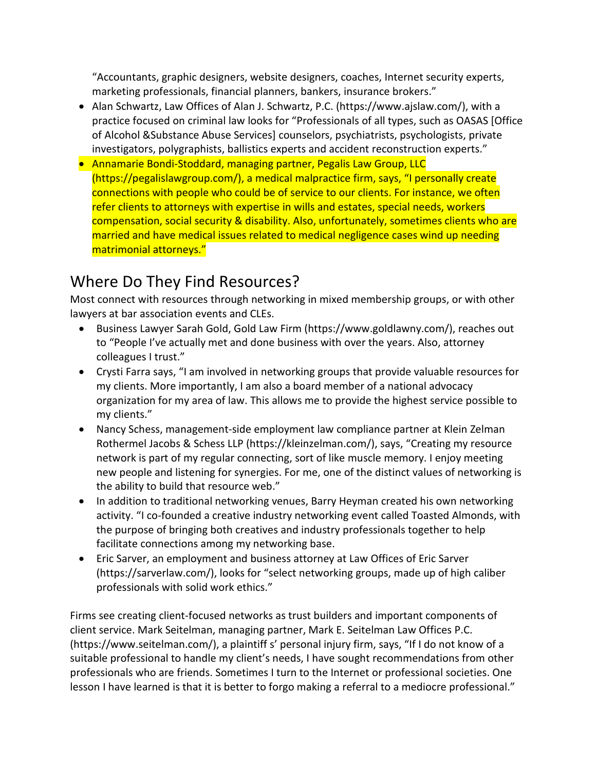"Accountants, graphic designers, website designers, coaches, Internet security experts, marketing professionals, financial planners, bankers, insurance brokers."

- Alan Schwartz, Law Offices of Alan J. Schwartz, P.C. (https://www.ajslaw.com/), with a practice focused on criminal law looks for "Professionals of all types, such as OASAS [Office of Alcohol &Substance Abuse Services] counselors, psychiatrists, psychologists, private investigators, polygraphists, ballistics experts and accident reconstruction experts."
- Annamarie Bondi-Stoddard, managing partner, Pegalis Law Group, LLC (https://pegalislawgroup.com/), a medical malpractice firm, says, "I personally create connections with people who could be of service to our clients. For instance, we often refer clients to attorneys with expertise in wills and estates, special needs, workers compensation, social security & disability. Also, unfortunately, sometimes clients who are married and have medical issues related to medical negligence cases wind up needing matrimonial attorneys."

### Where Do They Find Resources?

Most connect with resources through networking in mixed membership groups, or with other lawyers at bar association events and CLEs.

- Business Lawyer Sarah Gold, Gold Law Firm (https://www.goldlawny.com/), reaches out to "People I've actually met and done business with over the years. Also, attorney colleagues I trust."
- Crysti Farra says, "I am involved in networking groups that provide valuable resources for my clients. More importantly, I am also a board member of a national advocacy organization for my area of law. This allows me to provide the highest service possible to my clients."
- Nancy Schess, management-side employment law compliance partner at Klein Zelman Rothermel Jacobs & Schess LLP (https://kleinzelman.com/), says, "Creating my resource network is part of my regular connecting, sort of like muscle memory. I enjoy meeting new people and listening for synergies. For me, one of the distinct values of networking is the ability to build that resource web."
- In addition to traditional networking venues, Barry Heyman created his own networking activity. "I co-founded a creative industry networking event called Toasted Almonds, with the purpose of bringing both creatives and industry professionals together to help facilitate connections among my networking base.
- Eric Sarver, an employment and business attorney at Law Offices of Eric Sarver (https://sarverlaw.com/), looks for "select networking groups, made up of high caliber professionals with solid work ethics."

Firms see creating client-focused networks as trust builders and important components of client service. Mark Seitelman, managing partner, Mark E. Seitelman Law Offices P.C. (https://www.seitelman.com/), a plaintiff s' personal injury firm, says, "If I do not know of a suitable professional to handle my client's needs, I have sought recommendations from other professionals who are friends. Sometimes I turn to the Internet or professional societies. One lesson I have learned is that it is better to forgo making a referral to a mediocre professional."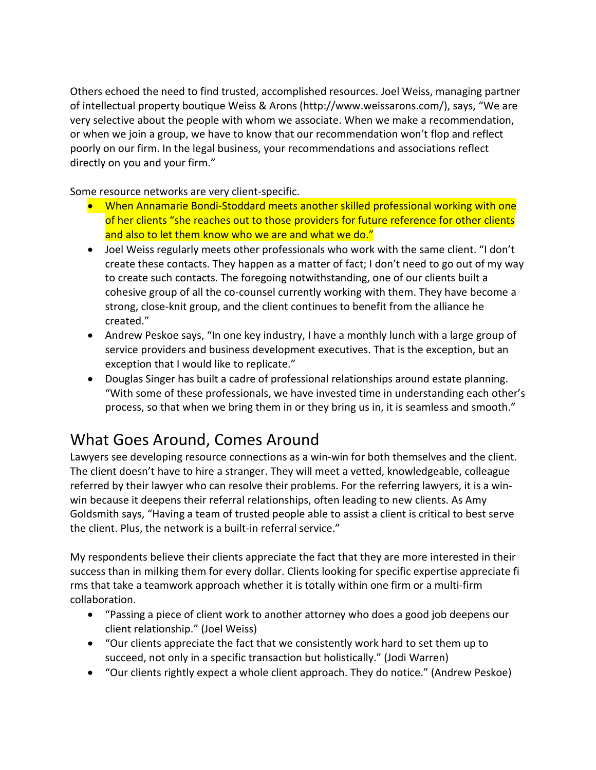Others echoed the need to find trusted, accomplished resources. Joel Weiss, managing partner of intellectual property boutique Weiss & Arons (http://www.weissarons.com/), says, "We are very selective about the people with whom we associate. When we make a recommendation, or when we join a group, we have to know that our recommendation won't flop and reflect poorly on our firm. In the legal business, your recommendations and associations reflect directly on you and your firm."

Some resource networks are very client-specific.

- When Annamarie Bondi-Stoddard meets another skilled professional working with one of her clients "she reaches out to those providers for future reference for other clients and also to let them know who we are and what we do."
- Joel Weiss regularly meets other professionals who work with the same client. "I don't create these contacts. They happen as a matter of fact; I don't need to go out of my way to create such contacts. The foregoing notwithstanding, one of our clients built a cohesive group of all the co-counsel currently working with them. They have become a strong, close-knit group, and the client continues to benefit from the alliance he created."
- Andrew Peskoe says, "In one key industry, I have a monthly lunch with a large group of service providers and business development executives. That is the exception, but an exception that I would like to replicate."
- Douglas Singer has built a cadre of professional relationships around estate planning. "With some of these professionals, we have invested time in understanding each other's process, so that when we bring them in or they bring us in, it is seamless and smooth."

# What Goes Around, Comes Around

Lawyers see developing resource connections as a win-win for both themselves and the client. The client doesn't have to hire a stranger. They will meet a vetted, knowledgeable, colleague referred by their lawyer who can resolve their problems. For the referring lawyers, it is a winwin because it deepens their referral relationships, often leading to new clients. As Amy Goldsmith says, "Having a team of trusted people able to assist a client is critical to best serve the client. Plus, the network is a built-in referral service."

My respondents believe their clients appreciate the fact that they are more interested in their success than in milking them for every dollar. Clients looking for specific expertise appreciate fi rms that take a teamwork approach whether it is totally within one firm or a multi-firm collaboration.

- "Passing a piece of client work to another attorney who does a good job deepens our client relationship." (Joel Weiss)
- "Our clients appreciate the fact that we consistently work hard to set them up to succeed, not only in a specific transaction but holistically." (Jodi Warren)
- "Our clients rightly expect a whole client approach. They do notice." (Andrew Peskoe)